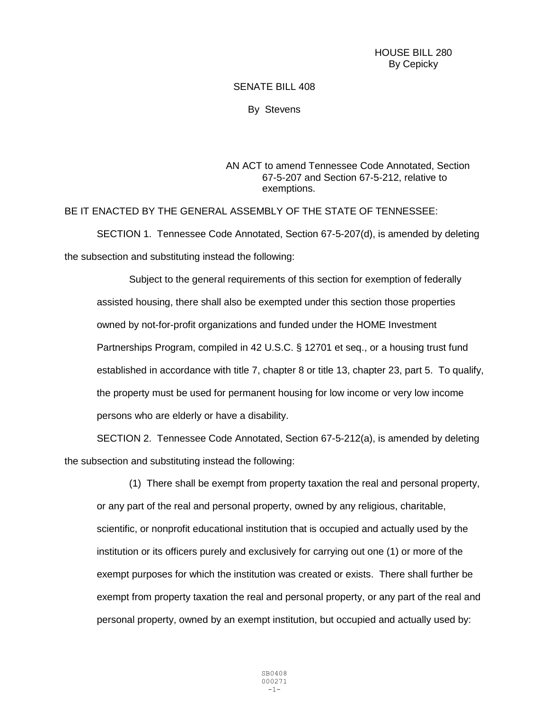HOUSE BILL 280 By Cepicky

## SENATE BILL 408

By Stevens

## AN ACT to amend Tennessee Code Annotated, Section 67-5-207 and Section 67-5-212, relative to exemptions.

BE IT ENACTED BY THE GENERAL ASSEMBLY OF THE STATE OF TENNESSEE: SECTION 1. Tennessee Code Annotated, Section 67-5-207(d), is amended by deleting the subsection and substituting instead the following:

Subject to the general requirements of this section for exemption of federally assisted housing, there shall also be exempted under this section those properties owned by not-for-profit organizations and funded under the HOME Investment Partnerships Program, compiled in 42 U.S.C. § 12701 et seq., or a housing trust fund established in accordance with title 7, chapter 8 or title 13, chapter 23, part 5. To qualify, the property must be used for permanent housing for low income or very low income persons who are elderly or have a disability.

SECTION 2. Tennessee Code Annotated, Section 67-5-212(a), is amended by deleting the subsection and substituting instead the following:

(1) There shall be exempt from property taxation the real and personal property, or any part of the real and personal property, owned by any religious, charitable, scientific, or nonprofit educational institution that is occupied and actually used by the institution or its officers purely and exclusively for carrying out one (1) or more of the exempt purposes for which the institution was created or exists. There shall further be exempt from property taxation the real and personal property, or any part of the real and personal property, owned by an exempt institution, but occupied and actually used by: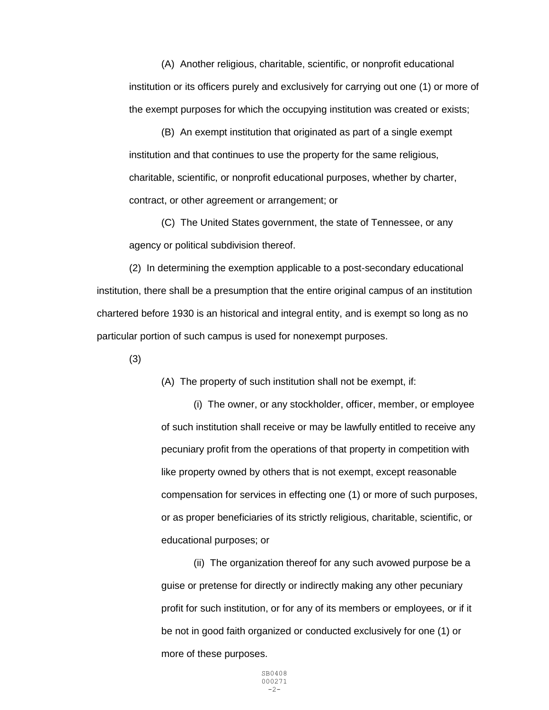(A) Another religious, charitable, scientific, or nonprofit educational institution or its officers purely and exclusively for carrying out one (1) or more of the exempt purposes for which the occupying institution was created or exists;

(B) An exempt institution that originated as part of a single exempt institution and that continues to use the property for the same religious, charitable, scientific, or nonprofit educational purposes, whether by charter, contract, or other agreement or arrangement; or

(C) The United States government, the state of Tennessee, or any agency or political subdivision thereof.

(2) In determining the exemption applicable to a post-secondary educational institution, there shall be a presumption that the entire original campus of an institution chartered before 1930 is an historical and integral entity, and is exempt so long as no particular portion of such campus is used for nonexempt purposes.

(3)

(A) The property of such institution shall not be exempt, if:

(i) The owner, or any stockholder, officer, member, or employee of such institution shall receive or may be lawfully entitled to receive any pecuniary profit from the operations of that property in competition with like property owned by others that is not exempt, except reasonable compensation for services in effecting one (1) or more of such purposes, or as proper beneficiaries of its strictly religious, charitable, scientific, or educational purposes; or

(ii) The organization thereof for any such avowed purpose be a guise or pretense for directly or indirectly making any other pecuniary profit for such institution, or for any of its members or employees, or if it be not in good faith organized or conducted exclusively for one (1) or more of these purposes.

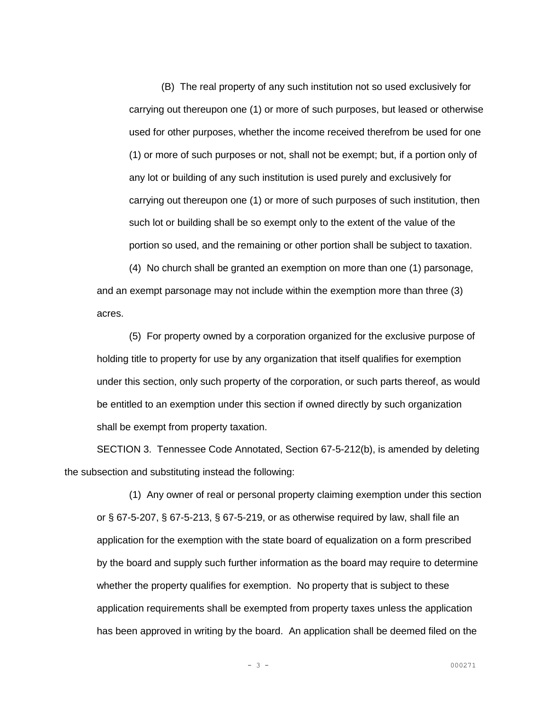(B) The real property of any such institution not so used exclusively for carrying out thereupon one (1) or more of such purposes, but leased or otherwise used for other purposes, whether the income received therefrom be used for one (1) or more of such purposes or not, shall not be exempt; but, if a portion only of any lot or building of any such institution is used purely and exclusively for carrying out thereupon one (1) or more of such purposes of such institution, then such lot or building shall be so exempt only to the extent of the value of the portion so used, and the remaining or other portion shall be subject to taxation.

(4) No church shall be granted an exemption on more than one (1) parsonage, and an exempt parsonage may not include within the exemption more than three (3) acres.

(5) For property owned by a corporation organized for the exclusive purpose of holding title to property for use by any organization that itself qualifies for exemption under this section, only such property of the corporation, or such parts thereof, as would be entitled to an exemption under this section if owned directly by such organization shall be exempt from property taxation.

SECTION 3. Tennessee Code Annotated, Section 67-5-212(b), is amended by deleting the subsection and substituting instead the following:

(1) Any owner of real or personal property claiming exemption under this section or § 67-5-207, § 67-5-213, § 67-5-219, or as otherwise required by law, shall file an application for the exemption with the state board of equalization on a form prescribed by the board and supply such further information as the board may require to determine whether the property qualifies for exemption. No property that is subject to these application requirements shall be exempted from property taxes unless the application has been approved in writing by the board. An application shall be deemed filed on the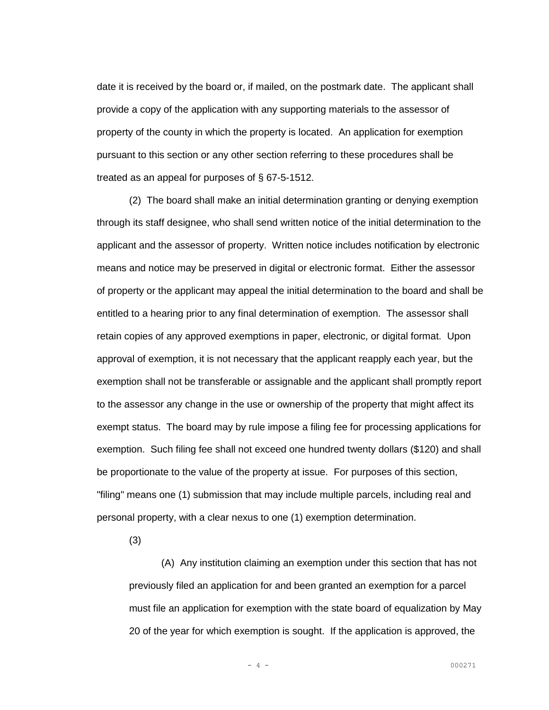date it is received by the board or, if mailed, on the postmark date. The applicant shall provide a copy of the application with any supporting materials to the assessor of property of the county in which the property is located. An application for exemption pursuant to this section or any other section referring to these procedures shall be treated as an appeal for purposes of § 67-5-1512.

(2) The board shall make an initial determination granting or denying exemption through its staff designee, who shall send written notice of the initial determination to the applicant and the assessor of property. Written notice includes notification by electronic means and notice may be preserved in digital or electronic format. Either the assessor of property or the applicant may appeal the initial determination to the board and shall be entitled to a hearing prior to any final determination of exemption. The assessor shall retain copies of any approved exemptions in paper, electronic, or digital format. Upon approval of exemption, it is not necessary that the applicant reapply each year, but the exemption shall not be transferable or assignable and the applicant shall promptly report to the assessor any change in the use or ownership of the property that might affect its exempt status. The board may by rule impose a filing fee for processing applications for exemption. Such filing fee shall not exceed one hundred twenty dollars (\$120) and shall be proportionate to the value of the property at issue. For purposes of this section, "filing" means one (1) submission that may include multiple parcels, including real and personal property, with a clear nexus to one (1) exemption determination.

(3)

(A) Any institution claiming an exemption under this section that has not previously filed an application for and been granted an exemption for a parcel must file an application for exemption with the state board of equalization by May 20 of the year for which exemption is sought. If the application is approved, the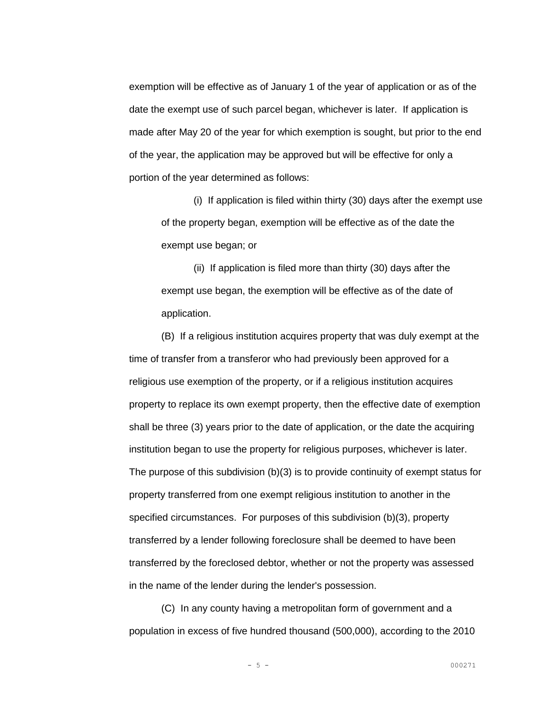exemption will be effective as of January 1 of the year of application or as of the date the exempt use of such parcel began, whichever is later. If application is made after May 20 of the year for which exemption is sought, but prior to the end of the year, the application may be approved but will be effective for only a portion of the year determined as follows:

(i) If application is filed within thirty (30) days after the exempt use of the property began, exemption will be effective as of the date the exempt use began; or

(ii) If application is filed more than thirty (30) days after the exempt use began, the exemption will be effective as of the date of application.

(B) If a religious institution acquires property that was duly exempt at the time of transfer from a transferor who had previously been approved for a religious use exemption of the property, or if a religious institution acquires property to replace its own exempt property, then the effective date of exemption shall be three (3) years prior to the date of application, or the date the acquiring institution began to use the property for religious purposes, whichever is later. The purpose of this subdivision (b)(3) is to provide continuity of exempt status for property transferred from one exempt religious institution to another in the specified circumstances. For purposes of this subdivision (b)(3), property transferred by a lender following foreclosure shall be deemed to have been transferred by the foreclosed debtor, whether or not the property was assessed in the name of the lender during the lender's possession.

(C) In any county having a metropolitan form of government and a population in excess of five hundred thousand (500,000), according to the 2010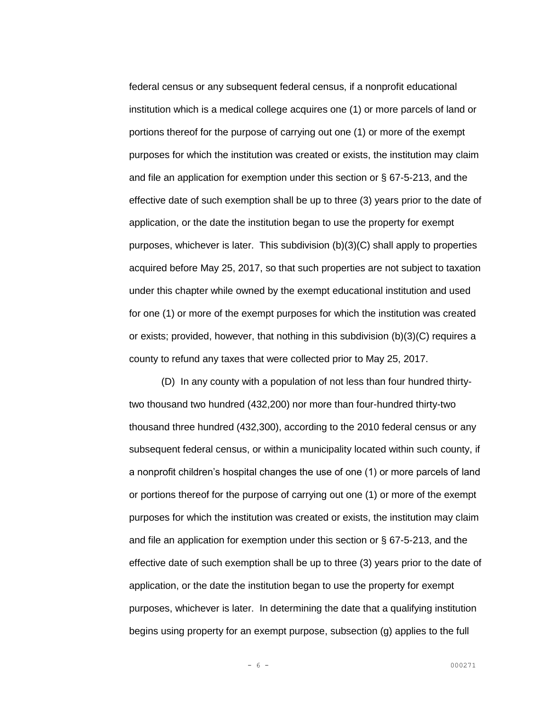federal census or any subsequent federal census, if a nonprofit educational institution which is a medical college acquires one (1) or more parcels of land or portions thereof for the purpose of carrying out one (1) or more of the exempt purposes for which the institution was created or exists, the institution may claim and file an application for exemption under this section or § 67-5-213, and the effective date of such exemption shall be up to three (3) years prior to the date of application, or the date the institution began to use the property for exempt purposes, whichever is later. This subdivision (b)(3)(C) shall apply to properties acquired before May 25, 2017, so that such properties are not subject to taxation under this chapter while owned by the exempt educational institution and used for one (1) or more of the exempt purposes for which the institution was created or exists; provided, however, that nothing in this subdivision (b)(3)(C) requires a county to refund any taxes that were collected prior to May 25, 2017.

(D) In any county with a population of not less than four hundred thirtytwo thousand two hundred (432,200) nor more than four-hundred thirty-two thousand three hundred (432,300), according to the 2010 federal census or any subsequent federal census, or within a municipality located within such county, if a nonprofit children's hospital changes the use of one (1) or more parcels of land or portions thereof for the purpose of carrying out one (1) or more of the exempt purposes for which the institution was created or exists, the institution may claim and file an application for exemption under this section or § 67-5-213, and the effective date of such exemption shall be up to three (3) years prior to the date of application, or the date the institution began to use the property for exempt purposes, whichever is later. In determining the date that a qualifying institution begins using property for an exempt purpose, subsection (g) applies to the full

- 6 - 000271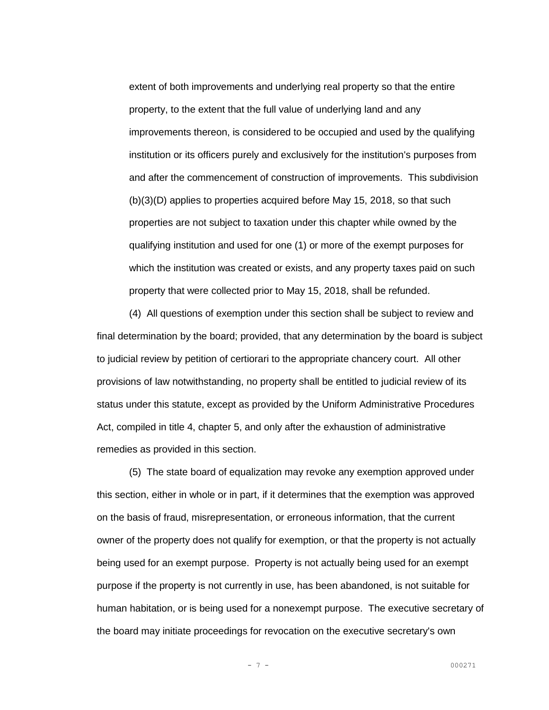extent of both improvements and underlying real property so that the entire property, to the extent that the full value of underlying land and any improvements thereon, is considered to be occupied and used by the qualifying institution or its officers purely and exclusively for the institution's purposes from and after the commencement of construction of improvements. This subdivision (b)(3)(D) applies to properties acquired before May 15, 2018, so that such properties are not subject to taxation under this chapter while owned by the qualifying institution and used for one (1) or more of the exempt purposes for which the institution was created or exists, and any property taxes paid on such property that were collected prior to May 15, 2018, shall be refunded.

(4) All questions of exemption under this section shall be subject to review and final determination by the board; provided, that any determination by the board is subject to judicial review by petition of certiorari to the appropriate chancery court. All other provisions of law notwithstanding, no property shall be entitled to judicial review of its status under this statute, except as provided by the Uniform Administrative Procedures Act, compiled in title 4, chapter 5, and only after the exhaustion of administrative remedies as provided in this section.

(5) The state board of equalization may revoke any exemption approved under this section, either in whole or in part, if it determines that the exemption was approved on the basis of fraud, misrepresentation, or erroneous information, that the current owner of the property does not qualify for exemption, or that the property is not actually being used for an exempt purpose. Property is not actually being used for an exempt purpose if the property is not currently in use, has been abandoned, is not suitable for human habitation, or is being used for a nonexempt purpose. The executive secretary of the board may initiate proceedings for revocation on the executive secretary's own

- 7 - 000271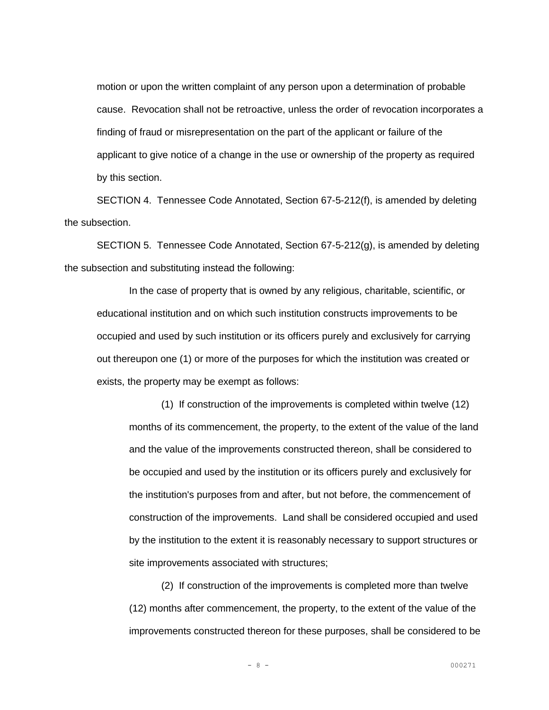motion or upon the written complaint of any person upon a determination of probable cause. Revocation shall not be retroactive, unless the order of revocation incorporates a finding of fraud or misrepresentation on the part of the applicant or failure of the applicant to give notice of a change in the use or ownership of the property as required by this section.

SECTION 4. Tennessee Code Annotated, Section 67-5-212(f), is amended by deleting the subsection.

SECTION 5. Tennessee Code Annotated, Section 67-5-212(g), is amended by deleting the subsection and substituting instead the following:

In the case of property that is owned by any religious, charitable, scientific, or educational institution and on which such institution constructs improvements to be occupied and used by such institution or its officers purely and exclusively for carrying out thereupon one (1) or more of the purposes for which the institution was created or exists, the property may be exempt as follows:

(1) If construction of the improvements is completed within twelve (12) months of its commencement, the property, to the extent of the value of the land and the value of the improvements constructed thereon, shall be considered to be occupied and used by the institution or its officers purely and exclusively for the institution's purposes from and after, but not before, the commencement of construction of the improvements. Land shall be considered occupied and used by the institution to the extent it is reasonably necessary to support structures or site improvements associated with structures;

(2) If construction of the improvements is completed more than twelve (12) months after commencement, the property, to the extent of the value of the improvements constructed thereon for these purposes, shall be considered to be